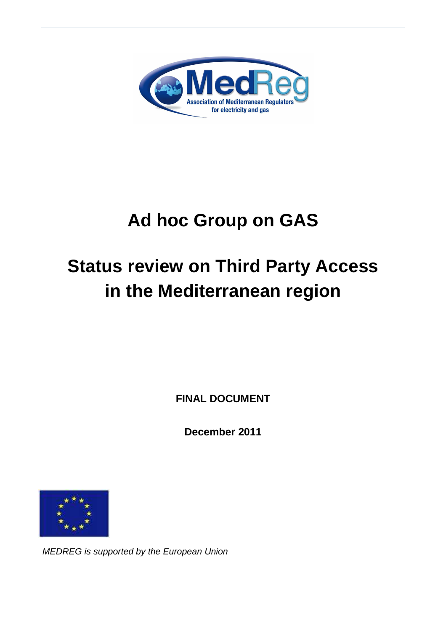

# **Ad hoc Group on GAS**

# **Status review on Third Party Access in the Mediterranean region**

**FINAL DOCUMENT** 

**December 2011** 



MEDREG is supported by the European Union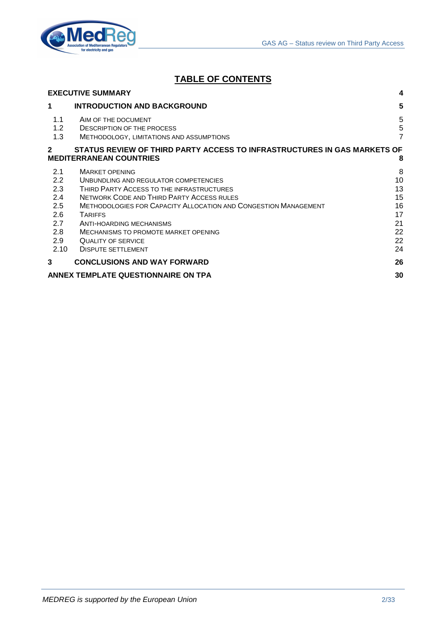

# **TABLE OF CONTENTS**

|                   | <b>EXECUTIVE SUMMARY</b>                                                                                   | 4                        |
|-------------------|------------------------------------------------------------------------------------------------------------|--------------------------|
| 1                 | <b>INTRODUCTION AND BACKGROUND</b>                                                                         | 5                        |
| 1.1<br>1.2<br>1.3 | AIM OF THE DOCUMENT<br><b>DESCRIPTION OF THE PROCESS</b><br>METHODOLOGY, LIMITATIONS AND ASSUMPTIONS       | 5<br>5<br>$\overline{7}$ |
| $\overline{2}$    | STATUS REVIEW OF THIRD PARTY ACCESS TO INFRASTRUCTURES IN GAS MARKETS OF<br><b>MEDITERRANEAN COUNTRIES</b> | 8                        |
| 2.1               | <b>MARKET OPENING</b>                                                                                      | 8                        |
| 2.2               | UNBUNDLING AND REGULATOR COMPETENCIES                                                                      | 10                       |
| 2.3               | THIRD PARTY ACCESS TO THE INFRASTRUCTURES                                                                  | 13                       |
| 2.4               | <b>NETWORK CODE AND THIRD PARTY ACCESS RULES</b>                                                           | 15                       |
| 2.5               | <b>METHODOLOGIES FOR CAPACITY ALLOCATION AND CONGESTION MANAGEMENT</b>                                     | 16                       |
| 2.6               | <b>TARIFFS</b>                                                                                             | 17                       |
| 2.7               | ANTI-HOARDING MECHANISMS                                                                                   | 21                       |
| 2.8               | MECHANISMS TO PROMOTE MARKET OPENING                                                                       | 22                       |
| 2.9               | QUALITY OF SERVICE                                                                                         | 22                       |
| 2.10              | <b>DISPUTE SETTLEMENT</b>                                                                                  | 24                       |
| 3                 | <b>CONCLUSIONS AND WAY FORWARD</b>                                                                         | 26                       |
|                   | ANNEX TEMPLATE QUESTIONNAIRE ON TPA                                                                        | 30                       |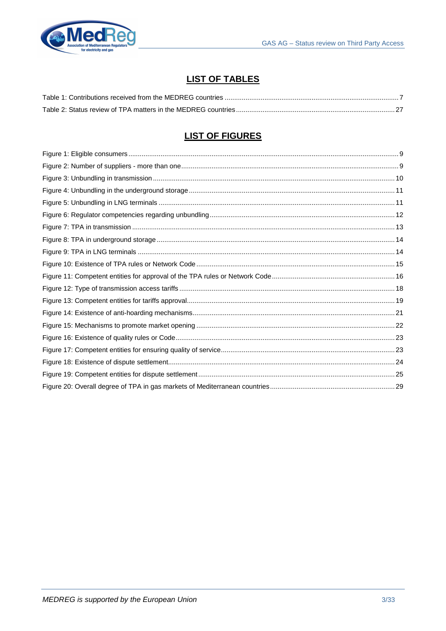

# **LIST OF TABLES**

# **LIST OF FIGURES**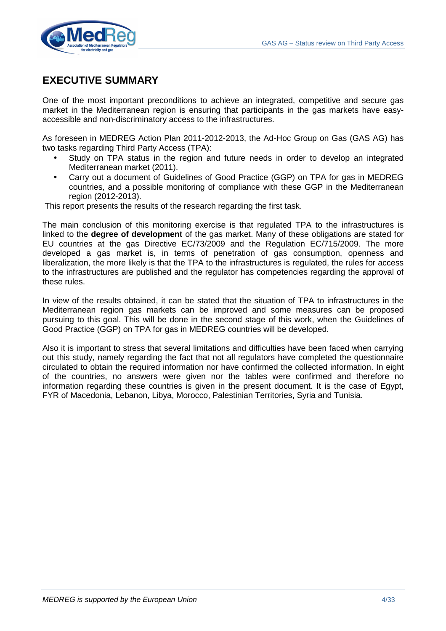

# **EXECUTIVE SUMMARY**

One of the most important preconditions to achieve an integrated, competitive and secure gas market in the Mediterranean region is ensuring that participants in the gas markets have easyaccessible and non-discriminatory access to the infrastructures.

As foreseen in MEDREG Action Plan 2011-2012-2013, the Ad-Hoc Group on Gas (GAS AG) has two tasks regarding Third Party Access (TPA):

- Study on TPA status in the region and future needs in order to develop an integrated Mediterranean market (2011).
- Carry out a document of Guidelines of Good Practice (GGP) on TPA for gas in MEDREG countries, and a possible monitoring of compliance with these GGP in the Mediterranean region (2012-2013).

This report presents the results of the research regarding the first task.

The main conclusion of this monitoring exercise is that regulated TPA to the infrastructures is linked to the **degree of development** of the gas market. Many of these obligations are stated for EU countries at the gas Directive EC/73/2009 and the Regulation EC/715/2009. The more developed a gas market is, in terms of penetration of gas consumption, openness and liberalization, the more likely is that the TPA to the infrastructures is regulated, the rules for access to the infrastructures are published and the regulator has competencies regarding the approval of these rules.

In view of the results obtained, it can be stated that the situation of TPA to infrastructures in the Mediterranean region gas markets can be improved and some measures can be proposed pursuing to this goal. This will be done in the second stage of this work, when the Guidelines of Good Practice (GGP) on TPA for gas in MEDREG countries will be developed.

Also it is important to stress that several limitations and difficulties have been faced when carrying out this study, namely regarding the fact that not all regulators have completed the questionnaire circulated to obtain the required information nor have confirmed the collected information. In eight of the countries, no answers were given nor the tables were confirmed and therefore no information regarding these countries is given in the present document. It is the case of Egypt, FYR of Macedonia, Lebanon, Libya, Morocco, Palestinian Territories, Syria and Tunisia.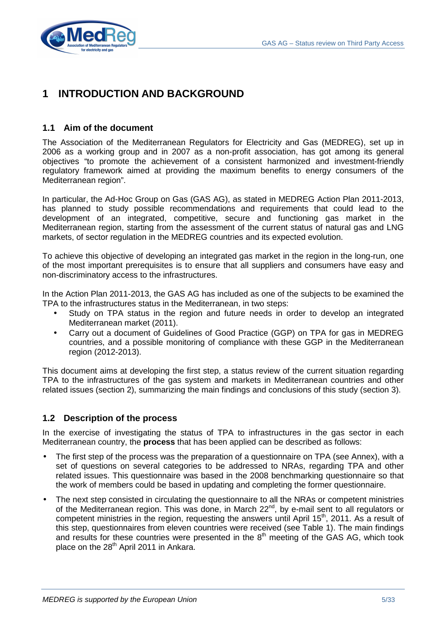

# **1 INTRODUCTION AND BACKGROUND**

# **1.1 Aim of the document**

The Association of the Mediterranean Regulators for Electricity and Gas (MEDREG), set up in 2006 as a working group and in 2007 as a non-profit association, has got among its general objectives "to promote the achievement of a consistent harmonized and investment-friendly regulatory framework aimed at providing the maximum benefits to energy consumers of the Mediterranean region".

In particular, the Ad-Hoc Group on Gas (GAS AG), as stated in MEDREG Action Plan 2011-2013, has planned to study possible recommendations and requirements that could lead to the development of an integrated, competitive, secure and functioning gas market in the Mediterranean region, starting from the assessment of the current status of natural gas and LNG markets, of sector regulation in the MEDREG countries and its expected evolution.

To achieve this objective of developing an integrated gas market in the region in the long-run, one of the most important prerequisites is to ensure that all suppliers and consumers have easy and non-discriminatory access to the infrastructures.

In the Action Plan 2011-2013, the GAS AG has included as one of the subjects to be examined the TPA to the infrastructures status in the Mediterranean, in two steps:

- Study on TPA status in the region and future needs in order to develop an integrated Mediterranean market (2011).
- Carry out a document of Guidelines of Good Practice (GGP) on TPA for gas in MEDREG countries, and a possible monitoring of compliance with these GGP in the Mediterranean region (2012-2013).

This document aims at developing the first step, a status review of the current situation regarding TPA to the infrastructures of the gas system and markets in Mediterranean countries and other related issues (section 2), summarizing the main findings and conclusions of this study (section 3).

# **1.2 Description of the process**

In the exercise of investigating the status of TPA to infrastructures in the gas sector in each Mediterranean country, the **process** that has been applied can be described as follows:

- The first step of the process was the preparation of a questionnaire on TPA (see Annex), with a set of questions on several categories to be addressed to NRAs, regarding TPA and other related issues. This questionnaire was based in the 2008 benchmarking questionnaire so that the work of members could be based in updating and completing the former questionnaire.
- The next step consisted in circulating the questionnaire to all the NRAs or competent ministries of the Mediterranean region. This was done, in March 22<sup>nd</sup>, by e-mail sent to all regulators or competent ministries in the region, requesting the answers until April 15<sup>th</sup>, 2011. As a result of this step, questionnaires from eleven countries were received (see Table 1). The main findings and results for these countries were presented in the  $8<sup>th</sup>$  meeting of the GAS AG, which took place on the 28<sup>th</sup> April 2011 in Ankara.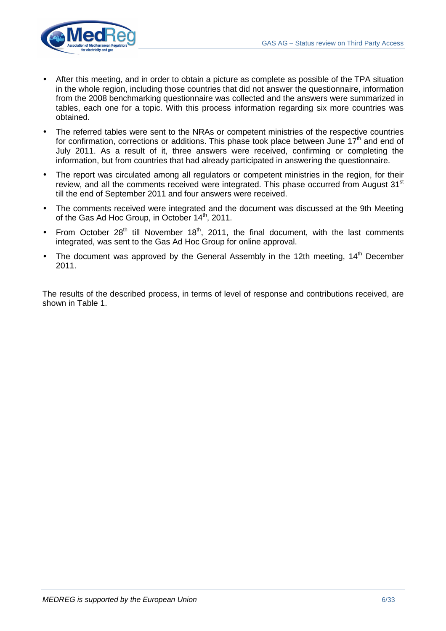

- After this meeting, and in order to obtain a picture as complete as possible of the TPA situation in the whole region, including those countries that did not answer the questionnaire, information from the 2008 benchmarking questionnaire was collected and the answers were summarized in tables, each one for a topic. With this process information regarding six more countries was obtained.
- The referred tables were sent to the NRAs or competent ministries of the respective countries for confirmation, corrections or additions. This phase took place between June  $17<sup>th</sup>$  and end of July 2011. As a result of it, three answers were received, confirming or completing the information, but from countries that had already participated in answering the questionnaire.
- The report was circulated among all regulators or competent ministries in the region, for their review, and all the comments received were integrated. This phase occurred from August 31<sup>st</sup> till the end of September 2011 and four answers were received.
- The comments received were integrated and the document was discussed at the 9th Meeting of the Gas Ad Hoc Group, in October 14<sup>th</sup>, 2011.
- From October  $28<sup>th</sup>$  till November 18<sup>th</sup>, 2011, the final document, with the last comments integrated, was sent to the Gas Ad Hoc Group for online approval.
- The document was approved by the General Assembly in the 12th meeting,  $14<sup>th</sup>$  December 2011.

The results of the described process, in terms of level of response and contributions received, are shown in Table 1.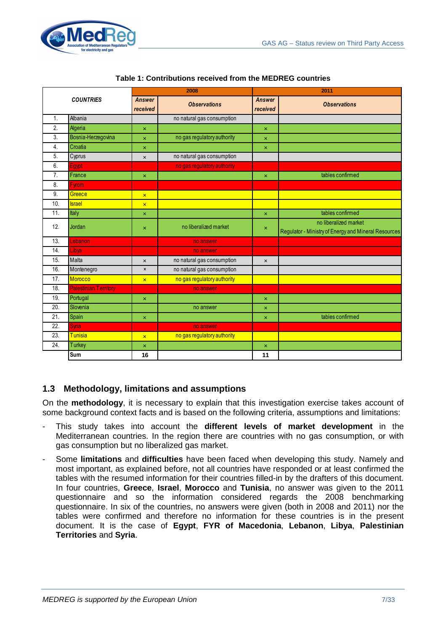

|                |                              |                           | 2008                        | 2011                      |                                                                               |  |  |  |  |
|----------------|------------------------------|---------------------------|-----------------------------|---------------------------|-------------------------------------------------------------------------------|--|--|--|--|
|                | <b>COUNTRIES</b>             | <b>Answer</b><br>received | <b>Observations</b>         | <b>Answer</b><br>received | <b>Observations</b>                                                           |  |  |  |  |
| $\mathbf{1}$ . | Albania                      |                           | no natural gas consumption  |                           |                                                                               |  |  |  |  |
| 2.             | Algeria                      | ×                         |                             | $\boldsymbol{\mathsf{x}}$ |                                                                               |  |  |  |  |
| 3.             | Bosnia-Herzegovina           | $\pmb{\times}$            | no gas regulatory authority | $\pmb{\times}$            |                                                                               |  |  |  |  |
| 4.             | Croatia                      | $\pmb{\times}$            |                             | $\pmb{\times}$            |                                                                               |  |  |  |  |
| 5.             | Cyprus                       | $\pmb{\times}$            | no natural gas consumption  |                           |                                                                               |  |  |  |  |
| 6.             | Egypt                        |                           | no gas regulatory authority |                           |                                                                               |  |  |  |  |
| 7.             | France                       | $\pmb{\times}$            |                             | $\pmb{\times}$            | tables confirmed                                                              |  |  |  |  |
| 8.             | <b>Fyrom</b>                 |                           |                             |                           |                                                                               |  |  |  |  |
| 9.             | Greece                       | $\overline{\mathbf{x}}$   |                             |                           |                                                                               |  |  |  |  |
| 10.            | <b>Israel</b>                | $\overline{\mathbf{x}}$   |                             |                           |                                                                               |  |  |  |  |
| 11.            | Italy                        | $\boldsymbol{\mathsf{x}}$ |                             | $\pmb{\times}$            | tables confirmed                                                              |  |  |  |  |
| 12.            | Jordan                       | $\pmb{\times}$            | no liberalized market       | $\boldsymbol{\mathsf{x}}$ | no liberalized market<br>Regulator - Ministry of Energy and Mineral Resources |  |  |  |  |
| 13.            | Lebanon                      |                           | no answer                   |                           |                                                                               |  |  |  |  |
| 14.            | Libya                        |                           | no answer                   |                           |                                                                               |  |  |  |  |
| 15.            | Malta                        | $\pmb{\times}$            | no natural gas consumption  | $\pmb{\times}$            |                                                                               |  |  |  |  |
| 16.            | Montenegro                   | $\pmb{\times}$            | no natural gas consumption  |                           |                                                                               |  |  |  |  |
| 17.            | <b>Morocco</b>               | $\overline{\mathbf{x}}$   | no gas regulatory authority |                           |                                                                               |  |  |  |  |
| 18.            | <b>Palestinian Territory</b> |                           | no answer                   |                           |                                                                               |  |  |  |  |
| 19.            | Portugal                     | ×                         |                             | $\boldsymbol{\mathsf{x}}$ |                                                                               |  |  |  |  |
| 20.            | Slovenia                     |                           | no answer                   | $\boldsymbol{\mathsf{x}}$ |                                                                               |  |  |  |  |
| 21.            | Spain                        | ×                         |                             | $\boldsymbol{\times}$     | tables confirmed                                                              |  |  |  |  |
| 22.            | <b>Syria</b>                 |                           | no answer                   |                           |                                                                               |  |  |  |  |
| 23.            | <b>Tunisia</b>               | $\overline{\mathbf{x}}$   | no gas regulatory authority |                           |                                                                               |  |  |  |  |
| 24.            | Turkey                       | $\pmb{\times}$            |                             | $\pmb{\times}$            |                                                                               |  |  |  |  |
|                | Sum                          | 16                        |                             | 11                        |                                                                               |  |  |  |  |

#### **Table 1: Contributions received from the MEDREG countries**

# **1.3 Methodology, limitations and assumptions**

On the **methodology**, it is necessary to explain that this investigation exercise takes account of some background context facts and is based on the following criteria, assumptions and limitations:

- This study takes into account the **different levels of market development** in the Mediterranean countries. In the region there are countries with no gas consumption, or with gas consumption but no liberalized gas market.
- Some **limitations** and **difficulties** have been faced when developing this study. Namely and most important, as explained before, not all countries have responded or at least confirmed the tables with the resumed information for their countries filled-in by the drafters of this document. In four countries, **Greece**, **Israel**, **Morocco** and **Tunisia**, no answer was given to the 2011 questionnaire and so the information considered regards the 2008 benchmarking questionnaire. In six of the countries, no answers were given (both in 2008 and 2011) nor the tables were confirmed and therefore no information for these countries is in the present document. It is the case of **Egypt**, **FYR of Macedonia**, **Lebanon**, **Libya**, **Palestinian Territories** and **Syria**.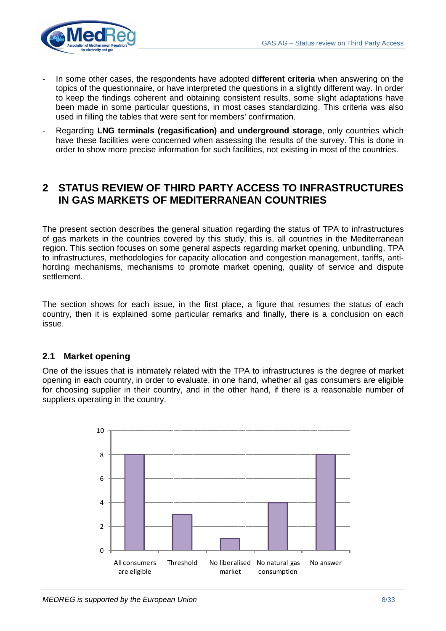

- In some other cases, the respondents have adopted **different criteria** when answering on the topics of the questionnaire, or have interpreted the questions in a slightly different way. In order to keep the findings coherent and obtaining consistent results, some slight adaptations have been made in some particular questions, in most cases standardizing. This criteria was also used in filling the tables that were sent for members' confirmation.
- Regarding **LNG terminals (regasification) and underground storage**, only countries which have these facilities were concerned when assessing the results of the survey. This is done in order to show more precise information for such facilities, not existing in most of the countries.

# **2 STATUS REVIEW OF THIRD PARTY ACCESS TO INFRASTRUCTURES IN GAS MARKETS OF MEDITERRANEAN COUNTRIES**

The present section describes the general situation regarding the status of TPA to infrastructures of gas markets in the countries covered by this study, this is, all countries in the Mediterranean region. This section focuses on some general aspects regarding market opening, unbundling, TPA to infrastructures, methodologies for capacity allocation and congestion management, tariffs, antihording mechanisms, mechanisms to promote market opening, quality of service and dispute settlement.

The section shows for each issue, in the first place, a figure that resumes the status of each country, then it is explained some particular remarks and finally, there is a conclusion on each issue.

# **2.1 Market opening**

One of the issues that is intimately related with the TPA to infrastructures is the degree of market opening in each country, in order to evaluate, in one hand, whether all gas consumers are eligible for choosing supplier in their country, and in the other hand, if there is a reasonable number of suppliers operating in the country.

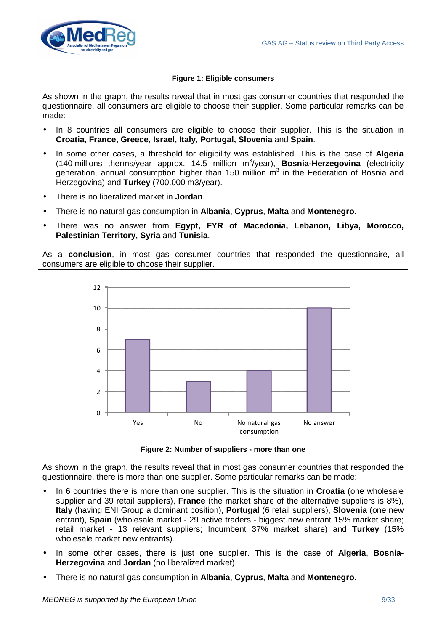

## **Figure 1: Eligible consumers**

As shown in the graph, the results reveal that in most gas consumer countries that responded the questionnaire, all consumers are eligible to choose their supplier. Some particular remarks can be made:

- In 8 countries all consumers are eligible to choose their supplier. This is the situation in **Croatia, France, Greece, Israel, Italy, Portugal, Slovenia** and **Spain**.
- In some other cases, a threshold for eligibility was established. This is the case of **Algeria** (140 millions therms/year approx. 14.5 million m<sup>3</sup>/year), **Bosnia-Herzegovina** (electricity generation, annual consumption higher than 150 million  $m<sup>3</sup>$  in the Federation of Bosnia and Herzegovina) and **Turkey** (700.000 m3/year).
- There is no liberalized market in **Jordan**.
- There is no natural gas consumption in **Albania**, **Cyprus**, **Malta** and **Montenegro**.
- There was no answer from **Egypt, FYR of Macedonia, Lebanon, Libya, Morocco, Palestinian Territory, Syria** and **Tunisia**.

As a **conclusion**, in most gas consumer countries that responded the questionnaire, all consumers are eligible to choose their supplier.



**Figure 2: Number of suppliers - more than one**

As shown in the graph, the results reveal that in most gas consumer countries that responded the questionnaire, there is more than one supplier. Some particular remarks can be made:

- In 6 countries there is more than one supplier. This is the situation in **Croatia** (one wholesale supplier and 39 retail suppliers), **France** (the market share of the alternative suppliers is 8%), **Italy** (having ENI Group a dominant position), **Portugal** (6 retail suppliers), **Slovenia** (one new entrant), **Spain** (wholesale market - 29 active traders - biggest new entrant 15% market share; retail market - 13 relevant suppliers; Incumbent 37% market share) and **Turkey** (15% wholesale market new entrants).
- In some other cases, there is just one supplier. This is the case of **Algeria**, **Bosnia-Herzegovina** and **Jordan** (no liberalized market).
- There is no natural gas consumption in **Albania**, **Cyprus**, **Malta** and **Montenegro**.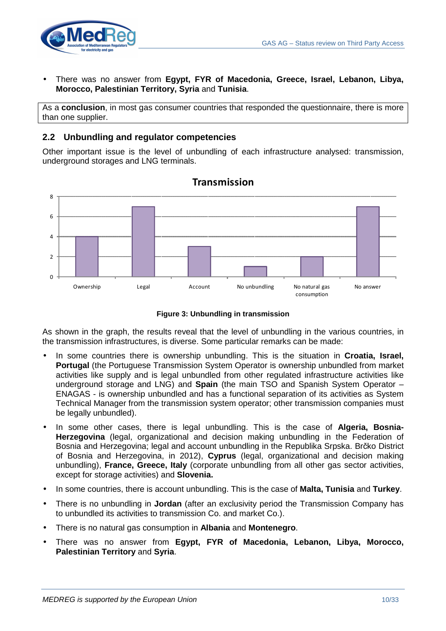

• There was no answer from **Egypt, FYR of Macedonia, Greece, Israel, Lebanon, Libya, Morocco, Palestinian Territory, Syria** and **Tunisia**.

As a **conclusion**, in most gas consumer countries that responded the questionnaire, there is more than one supplier.

# **2.2 Unbundling and regulator competencies**

Other important issue is the level of unbundling of each infrastructure analysed: transmission, underground storages and LNG terminals.



# **Transmission**

#### **Figure 3: Unbundling in transmission**

As shown in the graph, the results reveal that the level of unbundling in the various countries, in the transmission infrastructures, is diverse. Some particular remarks can be made:

- In some countries there is ownership unbundling. This is the situation in **Croatia, Israel, Portugal** (the Portuguese Transmission System Operator is ownership unbundled from market activities like supply and is legal unbundled from other regulated infrastructure activities like underground storage and LNG) and **Spain** (the main TSO and Spanish System Operator – ENAGAS - is ownership unbundled and has a functional separation of its activities as System Technical Manager from the transmission system operator; other transmission companies must be legally unbundled).
- In some other cases, there is legal unbundling. This is the case of **Algeria, Bosnia-Herzegovina** (legal, organizational and decision making unbundling in the Federation of Bosnia and Herzegovina; legal and account unbundling in the Republika Srpska. Brčko District of Bosnia and Herzegovina, in 2012), **Cyprus** (legal, organizational and decision making unbundling), **France, Greece, Italy** (corporate unbundling from all other gas sector activities, except for storage activities) and **Slovenia.**
- In some countries, there is account unbundling. This is the case of **Malta, Tunisia** and **Turkey**.
- There is no unbundling in **Jordan** (after an exclusivity period the Transmission Company has to unbundled its activities to transmission Co. and market Co.).
- There is no natural gas consumption in **Albania** and **Montenegro**.
- There was no answer from **Egypt, FYR of Macedonia, Lebanon, Libya, Morocco, Palestinian Territory** and **Syria**.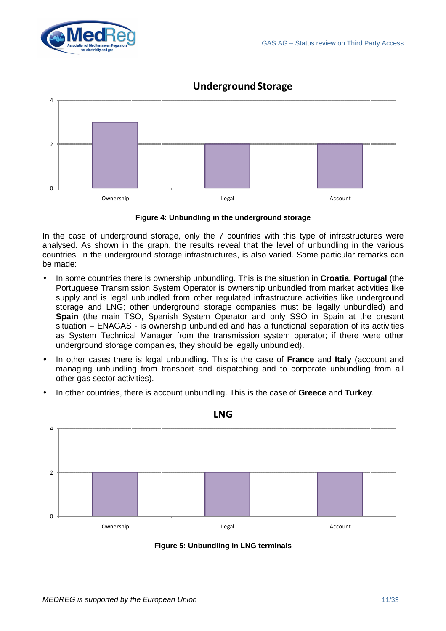



# **Underground Storage**



In the case of underground storage, only the 7 countries with this type of infrastructures were analysed. As shown in the graph, the results reveal that the level of unbundling in the various countries, in the underground storage infrastructures, is also varied. Some particular remarks can be made:

- In some countries there is ownership unbundling. This is the situation in **Croatia, Portugal** (the Portuguese Transmission System Operator is ownership unbundled from market activities like supply and is legal unbundled from other regulated infrastructure activities like underground storage and LNG; other underground storage companies must be legally unbundled) and **Spain** (the main TSO, Spanish System Operator and only SSO in Spain at the present situation – ENAGAS - is ownership unbundled and has a functional separation of its activities as System Technical Manager from the transmission system operator; if there were other underground storage companies, they should be legally unbundled).
- In other cases there is legal unbundling. This is the case of **France** and **Italy** (account and managing unbundling from transport and dispatching and to corporate unbundling from all other gas sector activities).
- In other countries, there is account unbundling. This is the case of **Greece** and **Turkey**.



**LNG**

**Figure 5: Unbundling in LNG terminals**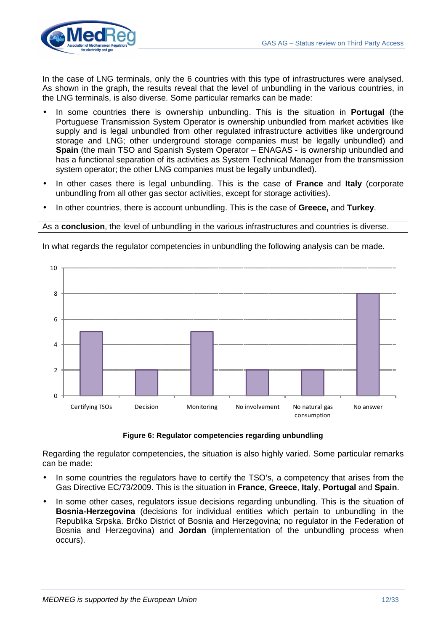

In the case of LNG terminals, only the 6 countries with this type of infrastructures were analysed. As shown in the graph, the results reveal that the level of unbundling in the various countries, in the LNG terminals, is also diverse. Some particular remarks can be made:

- In some countries there is ownership unbundling. This is the situation in **Portugal** (the Portuguese Transmission System Operator is ownership unbundled from market activities like supply and is legal unbundled from other regulated infrastructure activities like underground storage and LNG; other underground storage companies must be legally unbundled) and **Spain** (the main TSO and Spanish System Operator – ENAGAS - is ownership unbundled and has a functional separation of its activities as System Technical Manager from the transmission system operator; the other LNG companies must be legally unbundled).
- In other cases there is legal unbundling. This is the case of **France** and **Italy** (corporate unbundling from all other gas sector activities, except for storage activities).
- In other countries, there is account unbundling. This is the case of **Greece,** and **Turkey**.

#### As a **conclusion**, the level of unbundling in the various infrastructures and countries is diverse.

In what regards the regulator competencies in unbundling the following analysis can be made.



#### **Figure 6: Regulator competencies regarding unbundling**

Regarding the regulator competencies, the situation is also highly varied. Some particular remarks can be made:

- In some countries the regulators have to certify the TSO's, a competency that arises from the Gas Directive EC/73/2009. This is the situation in **France**, **Greece**, **Italy**, **Portugal** and **Spain**.
- In some other cases, regulators issue decisions regarding unbundling. This is the situation of **Bosnia-Herzegovina** (decisions for individual entities which pertain to unbundling in the Republika Srpska. Brčko District of Bosnia and Herzegovina; no regulator in the Federation of Bosnia and Herzegovina) and **Jordan** (implementation of the unbundling process when occurs).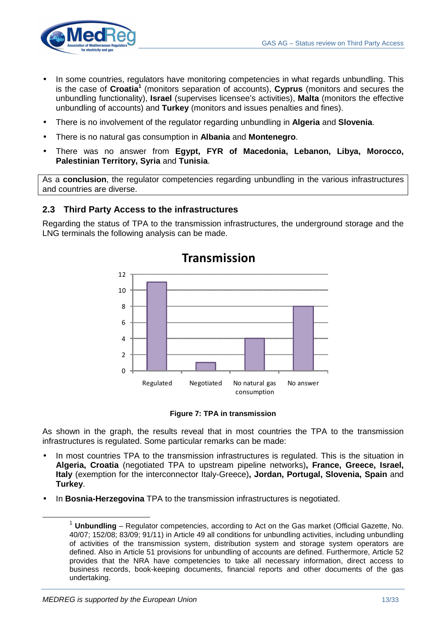

- In some countries, regulators have monitoring competencies in what regards unbundling. This is the case of **Croatia<sup>1</sup>** (monitors separation of accounts), **Cyprus** (monitors and secures the unbundling functionality), **Israel** (supervises licensee's activities), **Malta** (monitors the effective unbundling of accounts) and **Turkey** (monitors and issues penalties and fines).
- There is no involvement of the regulator regarding unbundling in **Algeria** and **Slovenia**.
- There is no natural gas consumption in **Albania** and **Montenegro**.
- There was no answer from **Egypt, FYR of Macedonia, Lebanon, Libya, Morocco, Palestinian Territory, Syria** and **Tunisia**.

As a **conclusion**, the regulator competencies regarding unbundling in the various infrastructures and countries are diverse.

# **2.3 Third Party Access to the infrastructures**

Regarding the status of TPA to the transmission infrastructures, the underground storage and the LNG terminals the following analysis can be made.



#### **Figure 7: TPA in transmission**

As shown in the graph, the results reveal that in most countries the TPA to the transmission infrastructures is regulated. Some particular remarks can be made:

- In most countries TPA to the transmission infrastructures is regulated. This is the situation in **Algeria, Croatia** (negotiated TPA to upstream pipeline networks)**, France, Greece, Israel, Italy** (exemption for the interconnector Italy-Greece)**, Jordan, Portugal, Slovenia, Spain** and **Turkey**.
- In **Bosnia-Herzegovina** TPA to the transmission infrastructures is negotiated.

<sup>1</sup> **Unbundling** – Regulator competencies, according to Act on the Gas market (Official Gazette, No. 40/07; 152/08; 83/09; 91/11) in Article 49 all conditions for unbundling activities, including unbundling of activities of the transmission system, distribution system and storage system operators are defined. Also in Article 51 provisions for unbundling of accounts are defined. Furthermore, Article 52 provides that the NRA have competencies to take all necessary information, direct access to business records, book-keeping documents, financial reports and other documents of the gas undertaking.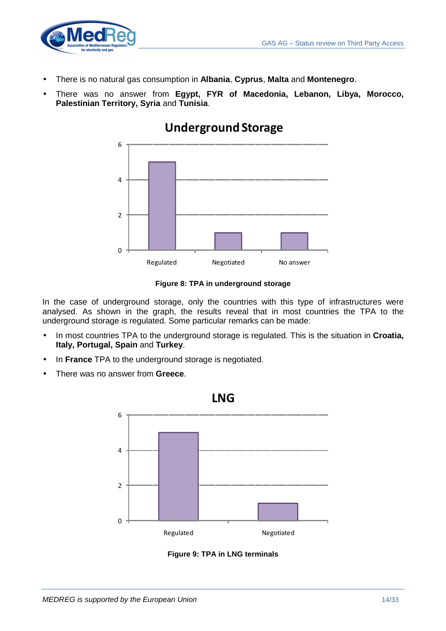

- There is no natural gas consumption in **Albania**, **Cyprus**, **Malta** and **Montenegro**.
- There was no answer from **Egypt, FYR of Macedonia, Lebanon, Libya, Morocco, Palestinian Territory, Syria** and **Tunisia**.



# **Underground Storage**

## **Figure 8: TPA in underground storage**

In the case of underground storage, only the countries with this type of infrastructures were analysed. As shown in the graph, the results reveal that in most countries the TPA to the underground storage is regulated. Some particular remarks can be made:

- In most countries TPA to the underground storage is regulated. This is the situation in **Croatia, Italy, Portugal, Spain** and **Turkey**.
- In **France** TPA to the underground storage is negotiated.
- There was no answer from **Greece**.



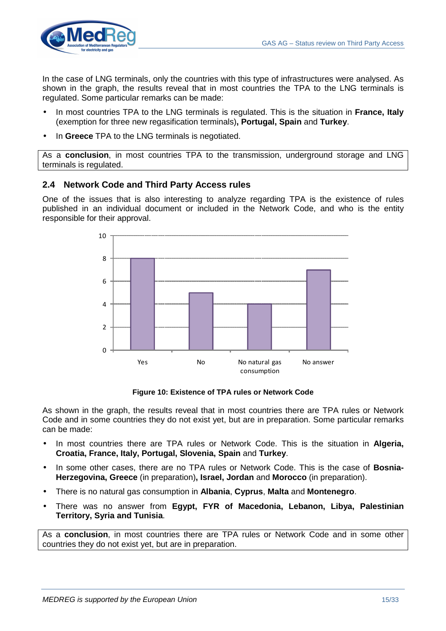

In the case of LNG terminals, only the countries with this type of infrastructures were analysed. As shown in the graph, the results reveal that in most countries the TPA to the LNG terminals is regulated. Some particular remarks can be made:

- In most countries TPA to the LNG terminals is regulated. This is the situation in **France, Italy** (exemption for three new regasification terminals)**, Portugal, Spain** and **Turkey**.
- In **Greece** TPA to the LNG terminals is negotiated.

As a **conclusion**, in most countries TPA to the transmission, underground storage and LNG terminals is regulated.

# **2.4 Network Code and Third Party Access rules**

One of the issues that is also interesting to analyze regarding TPA is the existence of rules published in an individual document or included in the Network Code, and who is the entity responsible for their approval.



**Figure 10: Existence of TPA rules or Network Code**

As shown in the graph, the results reveal that in most countries there are TPA rules or Network Code and in some countries they do not exist yet, but are in preparation. Some particular remarks can be made:

- In most countries there are TPA rules or Network Code. This is the situation in **Algeria, Croatia, France, Italy, Portugal, Slovenia, Spain** and **Turkey**.
- In some other cases, there are no TPA rules or Network Code. This is the case of **Bosnia-Herzegovina, Greece** (in preparation)**, Israel, Jordan** and **Morocco** (in preparation).
- There is no natural gas consumption in **Albania**, **Cyprus**, **Malta** and **Montenegro**.
- There was no answer from **Egypt, FYR of Macedonia, Lebanon, Libya, Palestinian Territory, Syria and Tunisia**.

As a **conclusion**, in most countries there are TPA rules or Network Code and in some other countries they do not exist yet, but are in preparation.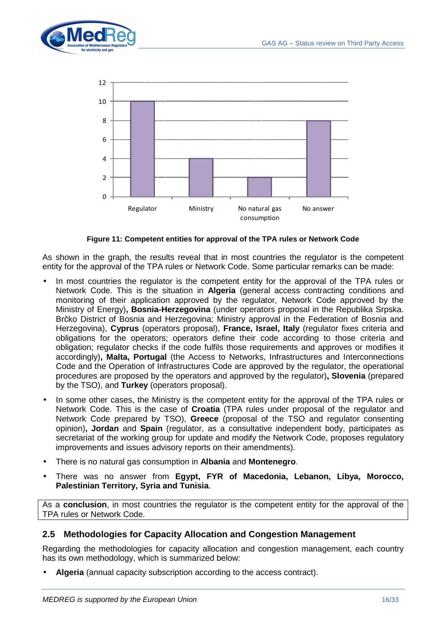



**Figure 11: Competent entities for approval of the TPA rules or Network Code**

As shown in the graph, the results reveal that in most countries the regulator is the competent entity for the approval of the TPA rules or Network Code. Some particular remarks can be made:

- In most countries the regulator is the competent entity for the approval of the TPA rules or Network Code. This is the situation in **Algeria** (general access contracting conditions and monitoring of their application approved by the regulator, Network Code approved by the Ministry of Energy)**, Bosnia-Herzegovina** (under operators proposal in the Republika Srpska. Brčko District of Bosnia and Herzegovina; Ministry approval in the Federation of Bosnia and Herzegovina), **Cyprus** (operators proposal), **France, Israel, Italy** (regulator fixes criteria and obligations for the operators; operators define their code according to those criteria and obligation; regulator checks if the code fulfils those requirements and approves or modifies it accordingly)**, Malta, Portugal** (the Access to Networks, Infrastructures and Interconnections Code and the Operation of Infrastructures Code are approved by the regulator, the operational procedures are proposed by the operators and approved by the regulator)**, Slovenia** (prepared by the TSO), and **Turkey** (operators proposal).
- In some other cases, the Ministry is the competent entity for the approval of the TPA rules or Network Code. This is the case of **Croatia** (TPA rules under proposal of the regulator and Network Code prepared by TSO), **Greece** (proposal of the TSO and regulator consenting opinion)**, Jordan** and **Spain** (regulator, as a consultative independent body, participates as secretariat of the working group for update and modify the Network Code, proposes regulatory improvements and issues advisory reports on their amendments).
- There is no natural gas consumption in **Albania** and **Montenegro**.
- There was no answer from **Egypt, FYR of Macedonia, Lebanon, Libya, Morocco, Palestinian Territory, Syria and Tunisia**.

As a **conclusion**, in most countries the regulator is the competent entity for the approval of the TPA rules or Network Code.

# **2.5 Methodologies for Capacity Allocation and Congestion Management**

Regarding the methodologies for capacity allocation and congestion management, each country has its own methodology, which is summarized below:

• **Algeria** (annual capacity subscription according to the access contract).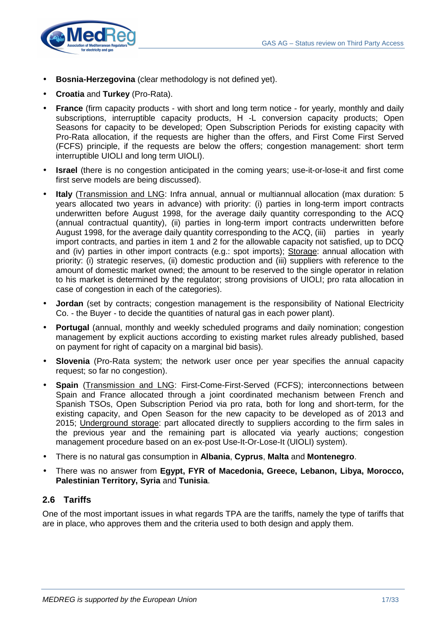

- **Bosnia-Herzegovina** (clear methodology is not defined yet).
- **Croatia** and **Turkey** (Pro-Rata).
- **France** (firm capacity products with short and long term notice for yearly, monthly and daily subscriptions, interruptible capacity products, H -L conversion capacity products; Open Seasons for capacity to be developed; Open Subscription Periods for existing capacity with Pro-Rata allocation, if the requests are higher than the offers, and First Come First Served (FCFS) principle, if the requests are below the offers; congestion management: short term interruptible UIOLI and long term UIOLI).
- **Israel** (there is no congestion anticipated in the coming years; use-it-or-lose-it and first come first serve models are being discussed).
- **Italy** (Transmission and LNG: Infra annual, annual or multiannual allocation (max duration: 5 years allocated two years in advance) with priority: (i) parties in long-term import contracts underwritten before August 1998, for the average daily quantity corresponding to the ACQ (annual contractual quantity), (ii) parties in long-term import contracts underwritten before August 1998, for the average daily quantity corresponding to the ACQ, (iii) parties in yearly import contracts, and parties in item 1 and 2 for the allowable capacity not satisfied, up to DCQ and (iv) parties in other import contracts (e.g.: spot imports); Storage: annual allocation with priority: (i) strategic reserves, (ii) domestic production and (iii) suppliers with reference to the amount of domestic market owned; the amount to be reserved to the single operator in relation to his market is determined by the regulator; strong provisions of UIOLI; pro rata allocation in case of congestion in each of the categories).
- **Jordan** (set by contracts; congestion management is the responsibility of National Electricity Co. - the Buyer - to decide the quantities of natural gas in each power plant).
- **Portugal** (annual, monthly and weekly scheduled programs and daily nomination; congestion management by explicit auctions according to existing market rules already published, based on payment for right of capacity on a marginal bid basis).
- **Slovenia** (Pro-Rata system; the network user once per year specifies the annual capacity request; so far no congestion).
- **Spain** (Transmission and LNG: First-Come-First-Served (FCFS); interconnections between Spain and France allocated through a joint coordinated mechanism between French and Spanish TSOs, Open Subscription Period via pro rata, both for long and short-term, for the existing capacity, and Open Season for the new capacity to be developed as of 2013 and 2015; Underground storage: part allocated directly to suppliers according to the firm sales in the previous year and the remaining part is allocated via yearly auctions; congestion management procedure based on an ex-post Use-It-Or-Lose-It (UIOLI) system).
- There is no natural gas consumption in **Albania**, **Cyprus**, **Malta** and **Montenegro**.
- There was no answer from **Egypt, FYR of Macedonia, Greece, Lebanon, Libya, Morocco, Palestinian Territory, Syria** and **Tunisia**.

## **2.6 Tariffs**

One of the most important issues in what regards TPA are the tariffs, namely the type of tariffs that are in place, who approves them and the criteria used to both design and apply them.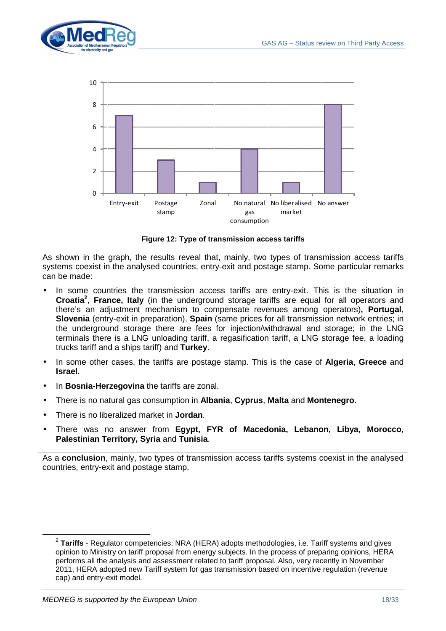



**Figure 12: Type of transmission access tariffs**

As shown in the graph, the results reveal that, mainly, two types of transmission access tariffs systems coexist in the analysed countries, entry-exit and postage stamp. Some particular remarks can be made:

- In some countries the transmission access tariffs are entry-exit. This is the situation in **Croatia<sup>2</sup>** , **France, Italy** (in the underground storage tariffs are equal for all operators and there's an adjustment mechanism to compensate revenues among operators)**, Portugal**, **Slovenia** (entry-exit in preparation), **Spain** (same prices for all transmission network entries; in the underground storage there are fees for injection/withdrawal and storage; in the LNG terminals there is a LNG unloading tariff, a regasification tariff, a LNG storage fee, a loading trucks tariff and a ships tariff) and **Turkey**.
- In some other cases, the tariffs are postage stamp. This is the case of **Algeria**, **Greece** and **Israel**.
- In **Bosnia-Herzegovina** the tariffs are zonal.
- There is no natural gas consumption in **Albania**, **Cyprus**, **Malta** and **Montenegro**.
- There is no liberalized market in **Jordan**.
- There was no answer from **Egypt, FYR of Macedonia, Lebanon, Libya, Morocco, Palestinian Territory, Syria** and **Tunisia**.

As a **conclusion**, mainly, two types of transmission access tariffs systems coexist in the analysed countries, entry-exit and postage stamp.

 $\overline{a}$ 

<sup>2</sup> **Tariffs** - Regulator competencies: NRA (HERA) adopts methodologies, i.e. Tariff systems and gives opinion to Ministry on tariff proposal from energy subjects. In the process of preparing opinions, HERA performs all the analysis and assessment related to tariff proposal. Also, very recently in November 2011, HERA adopted new Tariff system for gas transmission based on incentive regulation (revenue cap) and entry-exit model.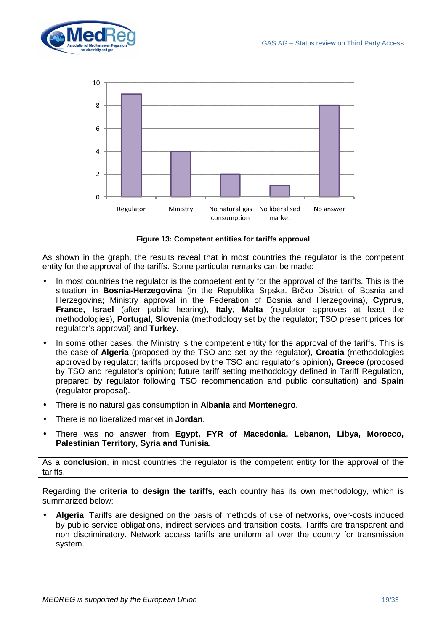



**Figure 13: Competent entities for tariffs approval**

As shown in the graph, the results reveal that in most countries the regulator is the competent entity for the approval of the tariffs. Some particular remarks can be made:

- In most countries the regulator is the competent entity for the approval of the tariffs. This is the situation in **Bosnia-Herzegovina** (in the Republika Srpska. Brčko District of Bosnia and Herzegovina; Ministry approval in the Federation of Bosnia and Herzegovina), **Cyprus**, **France, Israel** (after public hearing)**, Italy, Malta** (regulator approves at least the methodologies)**, Portugal, Slovenia** (methodology set by the regulator; TSO present prices for regulator's approval) and **Turkey**.
- In some other cases, the Ministry is the competent entity for the approval of the tariffs. This is the case of **Algeria** (proposed by the TSO and set by the regulator), **Croatia** (methodologies approved by regulator; tariffs proposed by the TSO and regulator's opinion)**, Greece** (proposed by TSO and regulator's opinion; future tariff setting methodology defined in Tariff Regulation, prepared by regulator following TSO recommendation and public consultation) and **Spain** (regulator proposal).
- There is no natural gas consumption in **Albania** and **Montenegro**.
- There is no liberalized market in **Jordan**.
- There was no answer from **Egypt, FYR of Macedonia, Lebanon, Libya, Morocco, Palestinian Territory, Syria and Tunisia**.

As a **conclusion**, in most countries the regulator is the competent entity for the approval of the tariffs.

Regarding the **criteria to design the tariffs**, each country has its own methodology, which is summarized below:

• **Algeria**: Tariffs are designed on the basis of methods of use of networks, over-costs induced by public service obligations, indirect services and transition costs. Tariffs are transparent and non discriminatory. Network access tariffs are uniform all over the country for transmission system.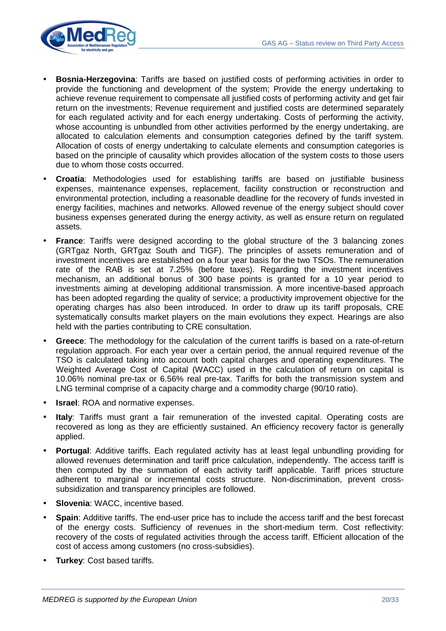

- **Bosnia-Herzegovina**: Tariffs are based on justified costs of performing activities in order to provide the functioning and development of the system; Provide the energy undertaking to achieve revenue requirement to compensate all justified costs of performing activity and get fair return on the investments; Revenue requirement and justified costs are determined separately for each regulated activity and for each energy undertaking. Costs of performing the activity, whose accounting is unbundled from other activities performed by the energy undertaking, are allocated to calculation elements and consumption categories defined by the tariff system. Allocation of costs of energy undertaking to calculate elements and consumption categories is based on the principle of causality which provides allocation of the system costs to those users due to whom those costs occurred.
- **Croatia**: Methodologies used for establishing tariffs are based on justifiable business expenses, maintenance expenses, replacement, facility construction or reconstruction and environmental protection, including a reasonable deadline for the recovery of funds invested in energy facilities, machines and networks. Allowed revenue of the energy subject should cover business expenses generated during the energy activity, as well as ensure return on regulated assets.
- **France:** Tariffs were designed according to the global structure of the 3 balancing zones (GRTgaz North, GRTgaz South and TIGF). The principles of assets remuneration and of investment incentives are established on a four year basis for the two TSOs. The remuneration rate of the RAB is set at 7.25% (before taxes). Regarding the investment incentives mechanism, an additional bonus of 300 base points is granted for a 10 year period to investments aiming at developing additional transmission. A more incentive-based approach has been adopted regarding the quality of service; a productivity improvement objective for the operating charges has also been introduced. In order to draw up its tariff proposals, CRE systematically consults market players on the main evolutions they expect. Hearings are also held with the parties contributing to CRE consultation.
- **Greece**: The methodology for the calculation of the current tariffs is based on a rate-of-return regulation approach. For each year over a certain period, the annual required revenue of the TSO is calculated taking into account both capital charges and operating expenditures. The Weighted Average Cost of Capital (WACC) used in the calculation of return on capital is 10.06% nominal pre-tax or 6.56% real pre-tax. Tariffs for both the transmission system and LNG terminal comprise of a capacity charge and a commodity charge (90/10 ratio).
- **Israel:** ROA and normative expenses.
- **Italy**: Tariffs must grant a fair remuneration of the invested capital. Operating costs are recovered as long as they are efficiently sustained. An efficiency recovery factor is generally applied.
- **Portugal:** Additive tariffs. Each regulated activity has at least legal unbundling providing for allowed revenues determination and tariff price calculation, independently. The access tariff is then computed by the summation of each activity tariff applicable. Tariff prices structure adherent to marginal or incremental costs structure. Non-discrimination, prevent crosssubsidization and transparency principles are followed.
- **Slovenia: WACC, incentive based.**
- **Spain:** Additive tariffs. The end-user price has to include the access tariff and the best forecast of the energy costs. Sufficiency of revenues in the short-medium term. Cost reflectivity: recovery of the costs of regulated activities through the access tariff. Efficient allocation of the cost of access among customers (no cross-subsidies).
- **Turkey**: Cost based tariffs.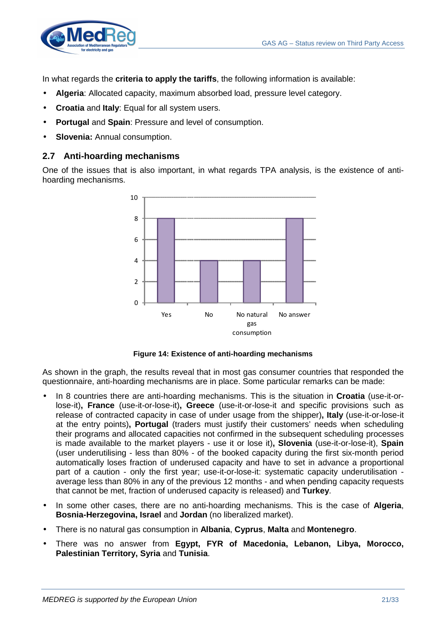

In what regards the **criteria to apply the tariffs**, the following information is available:

- **Algeria**: Allocated capacity, maximum absorbed load, pressure level category.
- **Croatia** and **Italy**: Equal for all system users.
- **Portugal** and **Spain**: Pressure and level of consumption.
- **Slovenia:** Annual consumption.

#### **2.7 Anti-hoarding mechanisms**

One of the issues that is also important, in what regards TPA analysis, is the existence of antihoarding mechanisms.



**Figure 14: Existence of anti-hoarding mechanisms**

As shown in the graph, the results reveal that in most gas consumer countries that responded the questionnaire, anti-hoarding mechanisms are in place. Some particular remarks can be made:

- In 8 countries there are anti-hoarding mechanisms. This is the situation in **Croatia** (use-it-orlose-it)**, France** (use-it-or-lose-it)**, Greece** (use-it-or-lose-it and specific provisions such as release of contracted capacity in case of under usage from the shipper)**, Italy** (use-it-or-lose-it at the entry points)**, Portugal** (traders must justify their customers' needs when scheduling their programs and allocated capacities not confirmed in the subsequent scheduling processes is made available to the market players - use it or lose it)**, Slovenia** (use-it-or-lose-it), **Spain** (user underutilising - less than 80% - of the booked capacity during the first six-month period automatically loses fraction of underused capacity and have to set in advance a proportional part of a caution - only the first year; use-it-or-lose-it: systematic capacity underutilisation average less than 80% in any of the previous 12 months - and when pending capacity requests that cannot be met, fraction of underused capacity is released) and **Turkey**.
- In some other cases, there are no anti-hoarding mechanisms. This is the case of **Algeria**, **Bosnia-Herzegovina, Israel** and **Jordan** (no liberalized market).
- There is no natural gas consumption in **Albania**, **Cyprus**, **Malta** and **Montenegro**.
- There was no answer from **Egypt, FYR of Macedonia, Lebanon, Libya, Morocco, Palestinian Territory, Syria** and **Tunisia**.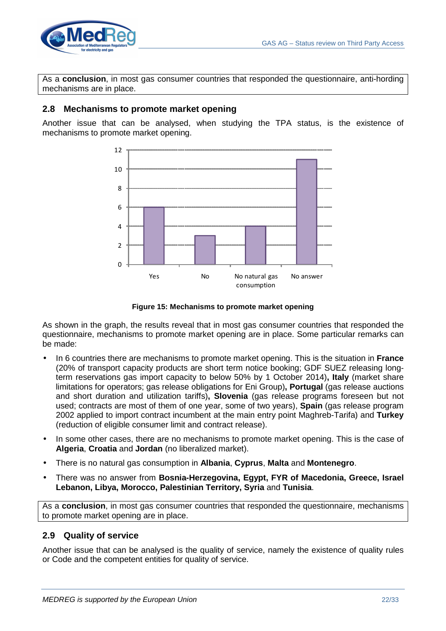

As a **conclusion**, in most gas consumer countries that responded the questionnaire, anti-hording mechanisms are in place.

## **2.8 Mechanisms to promote market opening**

Another issue that can be analysed, when studying the TPA status, is the existence of mechanisms to promote market opening.



**Figure 15: Mechanisms to promote market opening**

As shown in the graph, the results reveal that in most gas consumer countries that responded the questionnaire, mechanisms to promote market opening are in place. Some particular remarks can be made:

- In 6 countries there are mechanisms to promote market opening. This is the situation in **France**  (20% of transport capacity products are short term notice booking; GDF SUEZ releasing longterm reservations gas import capacity to below 50% by 1 October 2014)**, Italy** (market share limitations for operators; gas release obligations for Eni Group)**, Portugal** (gas release auctions and short duration and utilization tariffs)**, Slovenia** (gas release programs foreseen but not used; contracts are most of them of one year, some of two years), **Spain** (gas release program 2002 applied to import contract incumbent at the main entry point Maghreb-Tarifa) and **Turkey** (reduction of eligible consumer limit and contract release).
- In some other cases, there are no mechanisms to promote market opening. This is the case of **Algeria**, **Croatia** and **Jordan** (no liberalized market).
- There is no natural gas consumption in **Albania**, **Cyprus**, **Malta** and **Montenegro**.
- There was no answer from **Bosnia-Herzegovina, Egypt, FYR of Macedonia, Greece, Israel Lebanon, Libya, Morocco, Palestinian Territory, Syria** and **Tunisia**.

As a **conclusion**, in most gas consumer countries that responded the questionnaire, mechanisms to promote market opening are in place.

# **2.9 Quality of service**

Another issue that can be analysed is the quality of service, namely the existence of quality rules or Code and the competent entities for quality of service.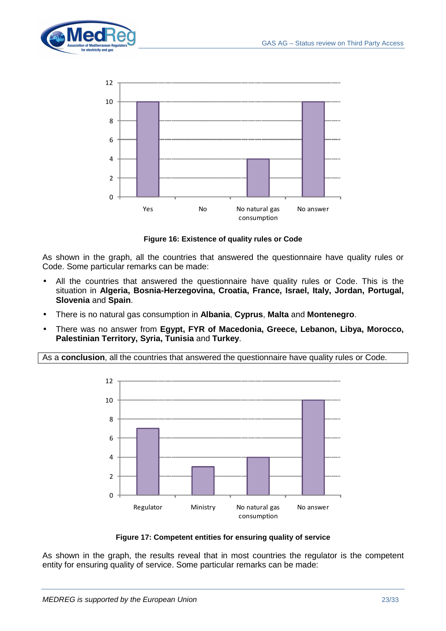



**Figure 16: Existence of quality rules or Code**

As shown in the graph, all the countries that answered the questionnaire have quality rules or Code. Some particular remarks can be made:

- All the countries that answered the questionnaire have quality rules or Code. This is the situation in **Algeria, Bosnia-Herzegovina, Croatia, France, Israel, Italy, Jordan, Portugal, Slovenia** and **Spain**.
- There is no natural gas consumption in **Albania**, **Cyprus**, **Malta** and **Montenegro**.
- There was no answer from **Egypt, FYR of Macedonia, Greece, Lebanon, Libya, Morocco, Palestinian Territory, Syria, Tunisia** and **Turkey**.

As a **conclusion**, all the countries that answered the questionnaire have quality rules or Code.



**Figure 17: Competent entities for ensuring quality of service**

As shown in the graph, the results reveal that in most countries the regulator is the competent entity for ensuring quality of service. Some particular remarks can be made: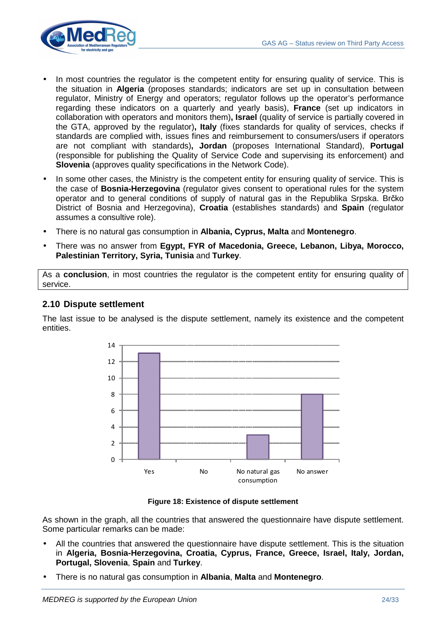

- In most countries the regulator is the competent entity for ensuring quality of service. This is the situation in **Algeria** (proposes standards; indicators are set up in consultation between regulator, Ministry of Energy and operators; regulator follows up the operator's performance regarding these indicators on a quarterly and yearly basis), **France** (set up indicators in collaboration with operators and monitors them)**, Israel** (quality of service is partially covered in the GTA, approved by the regulator)**, Italy** (fixes standards for quality of services, checks if standards are complied with, issues fines and reimbursement to consumers/users if operators are not compliant with standards)**, Jordan** (proposes International Standard), **Portugal** (responsible for publishing the Quality of Service Code and supervising its enforcement) and **Slovenia** (approves quality specifications in the Network Code).
- In some other cases, the Ministry is the competent entity for ensuring quality of service. This is the case of **Bosnia-Herzegovina** (regulator gives consent to operational rules for the system operator and to general conditions of supply of natural gas in the Republika Srpska. Brčko District of Bosnia and Herzegovina), **Croatia** (establishes standards) and **Spain** (regulator assumes a consultive role).
- There is no natural gas consumption in **Albania, Cyprus, Malta** and **Montenegro**.
- There was no answer from **Egypt, FYR of Macedonia, Greece, Lebanon, Libya, Morocco, Palestinian Territory, Syria, Tunisia** and **Turkey**.

As a **conclusion**, in most countries the regulator is the competent entity for ensuring quality of service.

## **2.10 Dispute settlement**

The last issue to be analysed is the dispute settlement, namely its existence and the competent entities.



**Figure 18: Existence of dispute settlement**

As shown in the graph, all the countries that answered the questionnaire have dispute settlement. Some particular remarks can be made:

- All the countries that answered the questionnaire have dispute settlement. This is the situation in **Algeria, Bosnia-Herzegovina, Croatia, Cyprus, France, Greece, Israel, Italy, Jordan, Portugal, Slovenia**, **Spain** and **Turkey**.
- There is no natural gas consumption in **Albania**, **Malta** and **Montenegro**.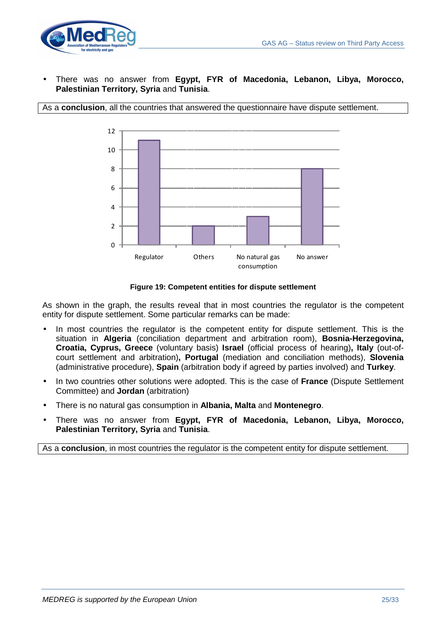

• There was no answer from **Egypt, FYR of Macedonia, Lebanon, Libya, Morocco, Palestinian Territory, Syria** and **Tunisia**.





**Figure 19: Competent entities for dispute settlement**

As shown in the graph, the results reveal that in most countries the regulator is the competent entity for dispute settlement. Some particular remarks can be made:

- In most countries the regulator is the competent entity for dispute settlement. This is the situation in **Algeria** (conciliation department and arbitration room), **Bosnia-Herzegovina, Croatia, Cyprus, Greece** (voluntary basis) **Israel** (official process of hearing)**, Italy** (out-ofcourt settlement and arbitration)**, Portugal** (mediation and conciliation methods), **Slovenia**  (administrative procedure), **Spain** (arbitration body if agreed by parties involved) and **Turkey**.
- In two countries other solutions were adopted. This is the case of **France** (Dispute Settlement Committee) and **Jordan** (arbitration)
- There is no natural gas consumption in **Albania, Malta** and **Montenegro**.
- There was no answer from **Egypt, FYR of Macedonia, Lebanon, Libya, Morocco, Palestinian Territory, Syria** and **Tunisia**.

As a **conclusion**, in most countries the regulator is the competent entity for dispute settlement.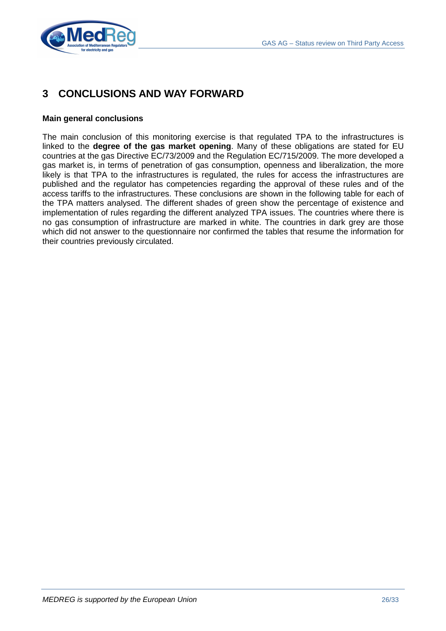

# **3 CONCLUSIONS AND WAY FORWARD**

#### **Main general conclusions**

The main conclusion of this monitoring exercise is that regulated TPA to the infrastructures is linked to the **degree of the gas market opening**. Many of these obligations are stated for EU countries at the gas Directive EC/73/2009 and the Regulation EC/715/2009. The more developed a gas market is, in terms of penetration of gas consumption, openness and liberalization, the more likely is that TPA to the infrastructures is regulated, the rules for access the infrastructures are published and the regulator has competencies regarding the approval of these rules and of the access tariffs to the infrastructures. These conclusions are shown in the following table for each of the TPA matters analysed. The different shades of green show the percentage of existence and implementation of rules regarding the different analyzed TPA issues. The countries where there is no gas consumption of infrastructure are marked in white. The countries in dark grey are those which did not answer to the questionnaire nor confirmed the tables that resume the information for their countries previously circulated.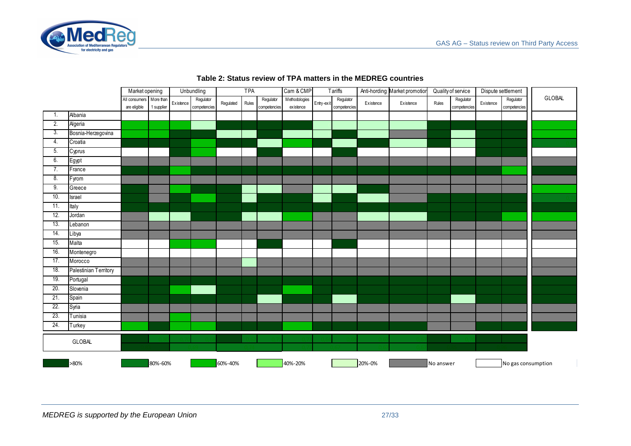

|                  |                       | Market opening                          |            |           | Unbundling                | TPA       |       | Cam & CMP                 | <b>Tariffs</b>             |            | Anti-hording Market promotion |           | Quality of service |           | Dispute settlement        |           |                           |               |
|------------------|-----------------------|-----------------------------------------|------------|-----------|---------------------------|-----------|-------|---------------------------|----------------------------|------------|-------------------------------|-----------|--------------------|-----------|---------------------------|-----------|---------------------------|---------------|
|                  |                       | All consumers More than<br>are eligible | 1 supplier | Existence | Regulator<br>competencies | Regulated | Rules | Regulator<br>competencies | Methodologies<br>existence | Entry-exit | Regulator<br>competencies     | Existence | Existence          | Rules     | Regulator<br>competencies | Existence | Regulator<br>competencies | <b>GLOBAL</b> |
| 1.               | Albania               |                                         |            |           |                           |           |       |                           |                            |            |                               |           |                    |           |                           |           |                           |               |
| 2.               | Algeria               |                                         |            |           |                           |           |       |                           |                            |            |                               |           |                    |           |                           |           |                           |               |
| 3.               | Bosnia-Herzegovina    |                                         |            |           |                           |           |       |                           |                            |            |                               |           |                    |           |                           |           |                           |               |
| $\overline{4}$ . | Croatia               |                                         |            |           |                           |           |       |                           |                            |            |                               |           |                    |           |                           |           |                           |               |
| 5 <sub>1</sub>   | Cyprus                |                                         |            |           |                           |           |       |                           |                            |            |                               |           |                    |           |                           |           |                           |               |
| 6.               | Egypt                 |                                         |            |           |                           |           |       |                           |                            |            |                               |           |                    |           |                           |           |                           |               |
| 7.               | France                |                                         |            |           |                           |           |       |                           |                            |            |                               |           |                    |           |                           |           |                           |               |
| 8.               | Fyrom                 |                                         |            |           |                           |           |       |                           |                            |            |                               |           |                    |           |                           |           |                           |               |
| 9.               | Greece                |                                         |            |           |                           |           |       |                           |                            |            |                               |           |                    |           |                           |           |                           |               |
| 10.              | Israel                |                                         |            |           |                           |           |       |                           |                            |            |                               |           |                    |           |                           |           |                           |               |
| 11.              | Italy                 |                                         |            |           |                           |           |       |                           |                            |            |                               |           |                    |           |                           |           |                           |               |
| 12.              | Jordan                |                                         |            |           |                           |           |       |                           |                            |            |                               |           |                    |           |                           |           |                           |               |
| 13.              | Lebanon               |                                         |            |           |                           |           |       |                           |                            |            |                               |           |                    |           |                           |           |                           |               |
| 14.              | Libya                 |                                         |            |           |                           |           |       |                           |                            |            |                               |           |                    |           |                           |           |                           |               |
| 15.              | Malta                 |                                         |            |           |                           |           |       |                           |                            |            |                               |           |                    |           |                           |           |                           |               |
| 16.              | Montenegro            |                                         |            |           |                           |           |       |                           |                            |            |                               |           |                    |           |                           |           |                           |               |
| 17.              | Morocco               |                                         |            |           |                           |           |       |                           |                            |            |                               |           |                    |           |                           |           |                           |               |
| 18.              | Palestinian Territory |                                         |            |           |                           |           |       |                           |                            |            |                               |           |                    |           |                           |           |                           |               |
| 19.              | Portugal              |                                         |            |           |                           |           |       |                           |                            |            |                               |           |                    |           |                           |           |                           |               |
| 20.              | Slovenia              |                                         |            |           |                           |           |       |                           |                            |            |                               |           |                    |           |                           |           |                           |               |
| 21.              | Spain                 |                                         |            |           |                           |           |       |                           |                            |            |                               |           |                    |           |                           |           |                           |               |
| 22.              | Syria                 |                                         |            |           |                           |           |       |                           |                            |            |                               |           |                    |           |                           |           |                           |               |
| 23.              | Tunisia               |                                         |            |           |                           |           |       |                           |                            |            |                               |           |                    |           |                           |           |                           |               |
| 24.              | Turkey                |                                         |            |           |                           |           |       |                           |                            |            |                               |           |                    |           |                           |           |                           |               |
|                  | <b>GLOBAL</b>         |                                         |            |           |                           |           |       |                           |                            |            |                               |           |                    |           |                           |           |                           |               |
|                  | >80%                  |                                         | 80%-60%    |           |                           | 60%-40%   |       |                           | 40%-20%                    |            |                               | 20%-0%    |                    | No answer |                           |           | No gas consumption        |               |

#### **Table 2: Status review of TPA matters in the MEDREG countries**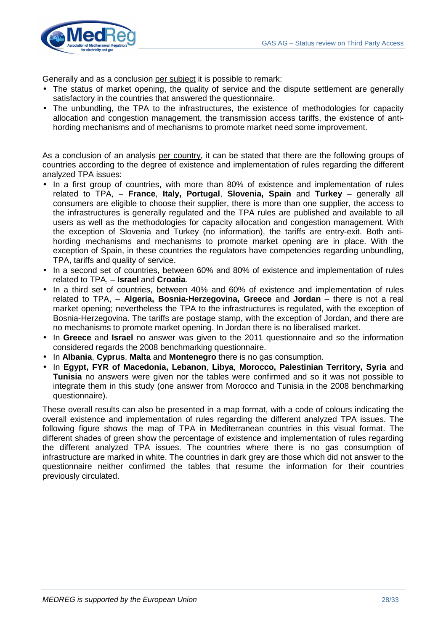

Generally and as a conclusion per subject it is possible to remark:

- The status of market opening, the quality of service and the dispute settlement are generally satisfactory in the countries that answered the questionnaire.
- The unbundling, the TPA to the infrastructures, the existence of methodologies for capacity allocation and congestion management, the transmission access tariffs, the existence of antihording mechanisms and of mechanisms to promote market need some improvement.

As a conclusion of an analysis per country, it can be stated that there are the following groups of countries according to the degree of existence and implementation of rules regarding the different analyzed TPA issues:

- In a first group of countries, with more than 80% of existence and implementation of rules related to TPA, – **France**, **Italy, Portugal**, **Slovenia, Spain** and **Turkey** – generally all consumers are eligible to choose their supplier, there is more than one supplier, the access to the infrastructures is generally regulated and the TPA rules are published and available to all users as well as the methodologies for capacity allocation and congestion management. With the exception of Slovenia and Turkey (no information), the tariffs are entry-exit. Both antihording mechanisms and mechanisms to promote market opening are in place. With the exception of Spain, in these countries the regulators have competencies regarding unbundling, TPA, tariffs and quality of service.
- In a second set of countries, between 60% and 80% of existence and implementation of rules related to TPA, – **Israel** and **Croatia**.
- In a third set of countries, between 40% and 60% of existence and implementation of rules related to TPA, – **Algeria, Bosnia-Herzegovina, Greece** and **Jordan** – there is not a real market opening; nevertheless the TPA to the infrastructures is regulated, with the exception of Bosnia-Herzegovina. The tariffs are postage stamp, with the exception of Jordan, and there are no mechanisms to promote market opening. In Jordan there is no liberalised market.
- In **Greece** and **Israel** no answer was given to the 2011 questionnaire and so the information considered regards the 2008 benchmarking questionnaire.
- In **Albania**, **Cyprus**, **Malta** and **Montenegro** there is no gas consumption.
- In **Egypt, FYR of Macedonia, Lebanon**, **Libya**, **Morocco, Palestinian Territory, Syria** and **Tunisia** no answers were given nor the tables were confirmed and so it was not possible to integrate them in this study (one answer from Morocco and Tunisia in the 2008 benchmarking questionnaire).

These overall results can also be presented in a map format, with a code of colours indicating the overall existence and implementation of rules regarding the different analyzed TPA issues. The following figure shows the map of TPA in Mediterranean countries in this visual format. The different shades of green show the percentage of existence and implementation of rules regarding the different analyzed TPA issues. The countries where there is no gas consumption of infrastructure are marked in white. The countries in dark grey are those which did not answer to the questionnaire neither confirmed the tables that resume the information for their countries previously circulated.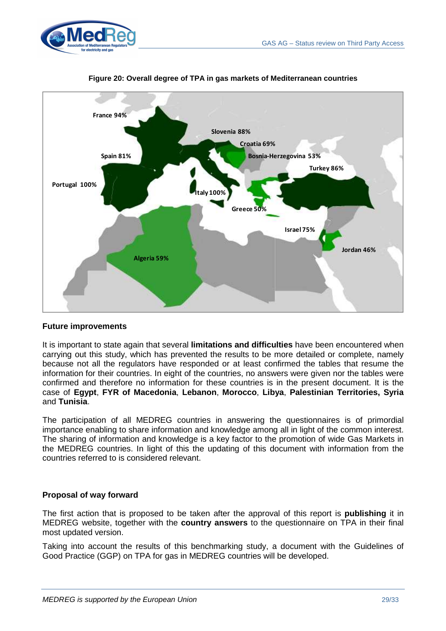



#### **Figure 20: Overall degree of TPA in gas markets of Mediterranean countries**

## **Future improvements**

It is important to state again that several **limitations and difficulties** have been encountered when carrying out this study, which has prevented the results to be more detailed or complete, namely because not all the regulators have responded or at least confirmed the tables that resume the information for their countries. In eight of the countries, no answers were given nor the tables were confirmed and therefore no information for these countries is in the present document. It is the case of **Egypt**, **FYR of Macedonia**, **Lebanon**, **Morocco**, **Libya**, **Palestinian Territories, Syria** and **Tunisia**.

The participation of all MEDREG countries in answering the questionnaires is of primordial importance enabling to share information and knowledge among all in light of the common interest. The sharing of information and knowledge is a key factor to the promotion of wide Gas Markets in the MEDREG countries. In light of this the updating of this document with information from the countries referred to is considered relevant.

## **Proposal of way forward**

The first action that is proposed to be taken after the approval of this report is **publishing** it in MEDREG website, together with the **country answers** to the questionnaire on TPA in their final most updated version.

Taking into account the results of this benchmarking study, a document with the Guidelines of Good Practice (GGP) on TPA for gas in MEDREG countries will be developed.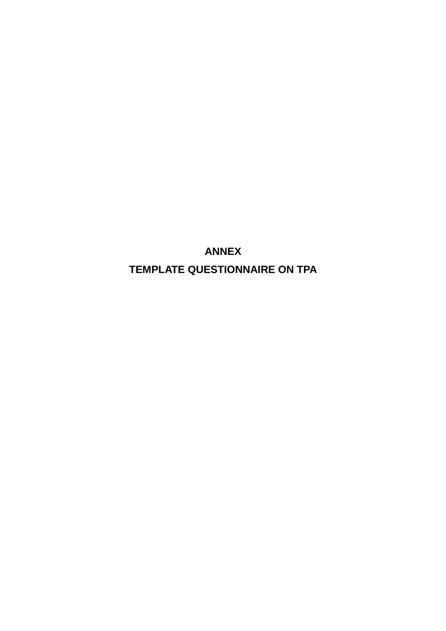**ANNEX TEMPLATE QUESTIONNAIRE ON TPA**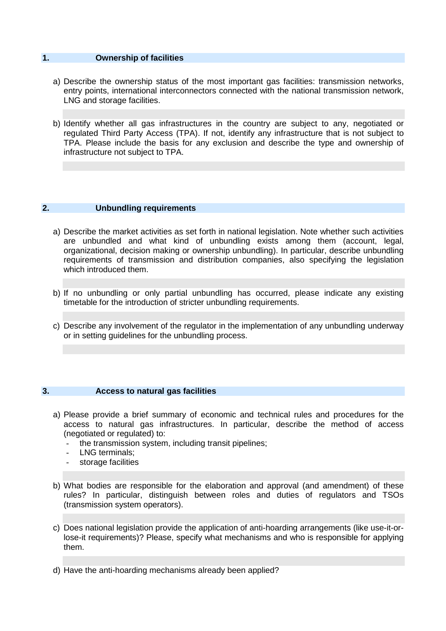## **1. Ownership of facilities**

- a) Describe the ownership status of the most important gas facilities: transmission networks, entry points, international interconnectors connected with the national transmission network, LNG and storage facilities.
- b) Identify whether all gas infrastructures in the country are subject to any, negotiated or regulated Third Party Access (TPA). If not, identify any infrastructure that is not subject to TPA. Please include the basis for any exclusion and describe the type and ownership of infrastructure not subject to TPA.

#### **2. Unbundling requirements**

- a) Describe the market activities as set forth in national legislation. Note whether such activities are unbundled and what kind of unbundling exists among them (account, legal, organizational, decision making or ownership unbundling). In particular, describe unbundling requirements of transmission and distribution companies, also specifying the legislation which introduced them.
- b) If no unbundling or only partial unbundling has occurred, please indicate any existing timetable for the introduction of stricter unbundling requirements.
- c) Describe any involvement of the regulator in the implementation of any unbundling underway or in setting guidelines for the unbundling process.

#### **3. Access to natural gas facilities**

- a) Please provide a brief summary of economic and technical rules and procedures for the access to natural gas infrastructures. In particular, describe the method of access (negotiated or regulated) to:
	- the transmission system, including transit pipelines;
	- LNG terminals:
	- storage facilities
- b) What bodies are responsible for the elaboration and approval (and amendment) of these rules? In particular, distinguish between roles and duties of regulators and TSOs (transmission system operators).
- c) Does national legislation provide the application of anti-hoarding arrangements (like use-it-orlose-it requirements)? Please, specify what mechanisms and who is responsible for applying them.
- d) Have the anti-hoarding mechanisms already been applied?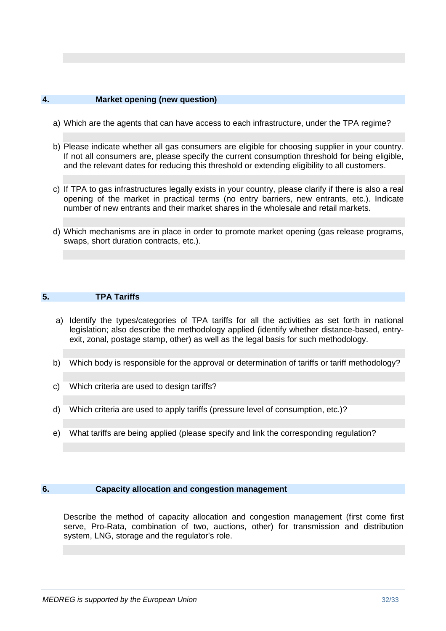## **4. Market opening (new question)**

- a) Which are the agents that can have access to each infrastructure, under the TPA regime?
- b) Please indicate whether all gas consumers are eligible for choosing supplier in your country. If not all consumers are, please specify the current consumption threshold for being eligible, and the relevant dates for reducing this threshold or extending eligibility to all customers.
- c) If TPA to gas infrastructures legally exists in your country, please clarify if there is also a real opening of the market in practical terms (no entry barriers, new entrants, etc.). Indicate number of new entrants and their market shares in the wholesale and retail markets.
- d) Which mechanisms are in place in order to promote market opening (gas release programs, swaps, short duration contracts, etc.).

## **5. TPA Tariffs**

- a) Identify the types/categories of TPA tariffs for all the activities as set forth in national legislation; also describe the methodology applied (identify whether distance-based, entryexit, zonal, postage stamp, other) as well as the legal basis for such methodology.
- b) Which body is responsible for the approval or determination of tariffs or tariff methodology?
- c) Which criteria are used to design tariffs?
- d) Which criteria are used to apply tariffs (pressure level of consumption, etc.)?
- e) What tariffs are being applied (please specify and link the corresponding regulation?

#### **6. Capacity allocation and congestion management**

Describe the method of capacity allocation and congestion management (first come first serve, Pro-Rata, combination of two, auctions, other) for transmission and distribution system, LNG, storage and the regulator's role.